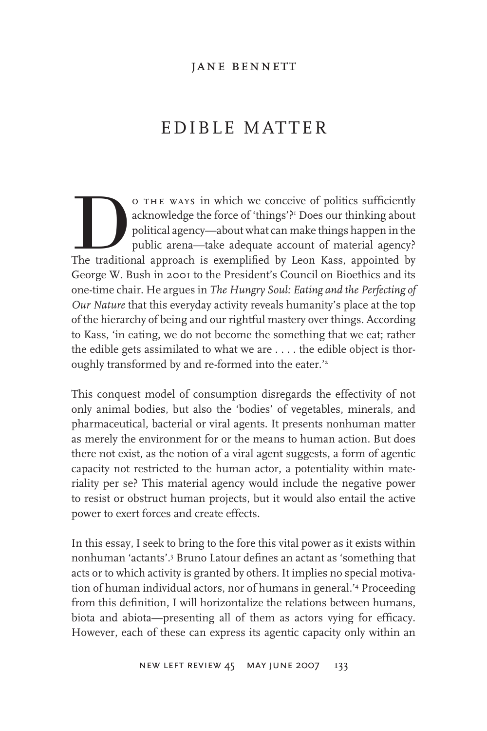# EDIBLE MATTER

O THE WAYS in which we conceive of politics sufficiently acknowledge the force of 'things'?" Does our thinking about political agency—about what can make things happen in the public arena—take adequate account of material acknowledge the force of 'things'?<sup>1</sup> Does our thinking about political agency—about what can make things happen in the public arena—take adequate account of material agency? George W. Bush in 2001 to the President's Council on Bioethics and its one-time chair. He argues in *The Hungry Soul: Eating and the Perfecting of Our Nature* that this everyday activity reveals humanity's place at the top of the hierarchy of being and our rightful mastery over things. According to Kass, 'in eating, we do not become the something that we eat; rather the edible gets assimilated to what we are . . . . the edible object is thoroughly transformed by and re-formed into the eater.<sup>'2</sup>

This conquest model of consumption disregards the effectivity of not only animal bodies, but also the 'bodies' of vegetables, minerals, and pharmaceutical, bacterial or viral agents. It presents nonhuman matter as merely the environment for or the means to human action. But does there not exist, as the notion of a viral agent suggests, a form of agentic capacity not restricted to the human actor, a potentiality within materiality per se? This material agency would include the negative power to resist or obstruct human projects, but it would also entail the active power to exert forces and create effects.

In this essay, I seek to bring to the fore this vital power as it exists within nonhuman 'actants'.3 Bruno Latour defines an actant as 'something that acts or to which activity is granted by others. It implies no special motivation of human individual actors, nor of humans in general.'4 Proceeding from this definition, I will horizontalize the relations between humans, biota and abiota—presenting all of them as actors vying for efficacy. However, each of these can express its agentic capacity only within an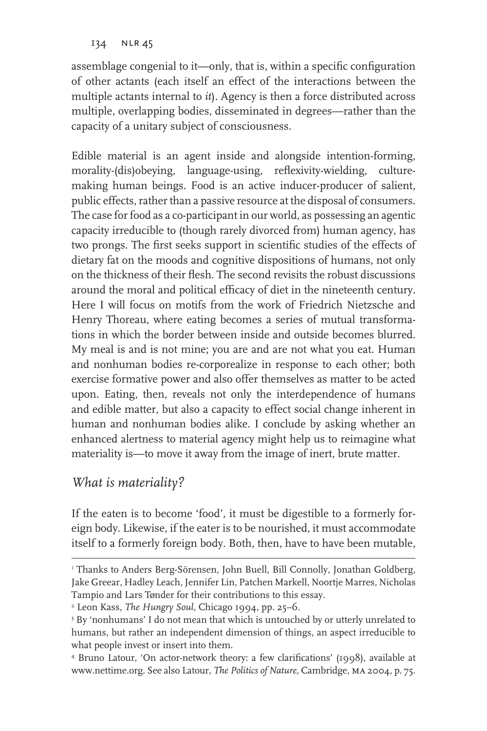134 NLR 45

assemblage congenial to it—only, that is, within a specific configuration of other actants (each itself an effect of the interactions between the multiple actants internal to *it*). Agency is then a force distributed across multiple, overlapping bodies, disseminated in degrees—rather than the capacity of a unitary subject of consciousness.

Edible material is an agent inside and alongside intention-forming, morality-(dis)obeying, language-using, reflexivity-wielding, culturemaking human beings. Food is an active inducer-producer of salient, public effects, rather than a passive resource at the disposal of consumers. The case for food as a co-participant in our world, as possessing an agentic capacity irreducible to (though rarely divorced from) human agency, has two prongs. The first seeks support in scientific studies of the effects of dietary fat on the moods and cognitive dispositions of humans, not only on the thickness of their flesh. The second revisits the robust discussions around the moral and political efficacy of diet in the nineteenth century. Here I will focus on motifs from the work of Friedrich Nietzsche and Henry Thoreau, where eating becomes a series of mutual transformations in which the border between inside and outside becomes blurred. My meal is and is not mine; you are and are not what you eat. Human and nonhuman bodies re-corporealize in response to each other; both exercise formative power and also offer themselves as matter to be acted upon. Eating, then, reveals not only the interdependence of humans and edible matter, but also a capacity to effect social change inherent in human and nonhuman bodies alike. I conclude by asking whether an enhanced alertness to material agency might help us to reimagine what materiality is—to move it away from the image of inert, brute matter.

## *What is materiality?*

If the eaten is to become 'food', it must be digestible to a formerly foreign body. Likewise, if the eater is to be nourished, it must accommodate itself to a formerly foreign body. Both, then, have to have been mutable,

I Thanks to Anders Berg-Sörensen, John Buell, Bill Connolly, Jonathan Goldberg, Jake Greear, Hadley Leach, Jennifer Lin, Patchen Markell, Noortje Marres, Nicholas Tampio and Lars Tønder for their contributions to this essay.

<sup>2</sup> Leon Kass, *The Hungry Soul*, Chicago 1994, pp. 25–6.

<sup>3</sup> By 'nonhumans' I do not mean that which is untouched by or utterly unrelated to humans, but rather an independent dimension of things, an aspect irreducible to what people invest or insert into them.

<sup>4</sup> Bruno Latour, 'On actor-network theory: a few clarifications' (1998), available at www.nettime.org. See also Latour, *The Politics of Nature,* Cambridge, ma 2004, p. 75.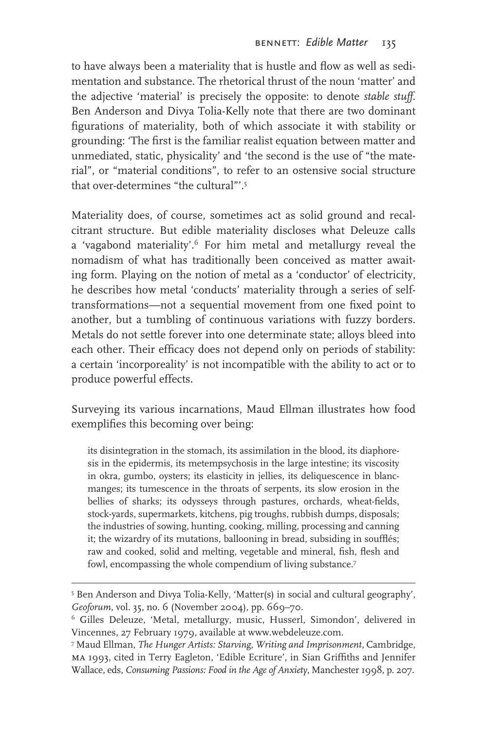to have always been a materiality that is hustle and flow as well as sedimentation and substance. The rhetorical thrust of the noun 'matter' and the adjective 'material' is precisely the opposite: to denote *stable stuff*. Ben Anderson and Divya Tolia-Kelly note that there are two dominant figurations of materiality, both of which associate it with stability or grounding: 'The first is the familiar realist equation between matter and unmediated, static, physicality' and 'the second is the use of "the material", or "material conditions", to refer to an ostensive social structure that over-determines "the cultural"'.<sup>5</sup>

Materiality does, of course, sometimes act as solid ground and recalcitrant structure. But edible materiality discloses what Deleuze calls a 'vagabond materiality'.6 For him metal and metallurgy reveal the nomadism of what has traditionally been conceived as matter awaiting form. Playing on the notion of metal as a 'conductor' of electricity, he describes how metal 'conducts' materiality through a series of selftransformations—not a sequential movement from one fixed point to another, but a tumbling of continuous variations with fuzzy borders. Metals do not settle forever into one determinate state; alloys bleed into each other. Their efficacy does not depend only on periods of stability: a certain 'incorporeality' is not incompatible with the ability to act or to produce powerful effects.

Surveying its various incarnations, Maud Ellman illustrates how food exemplifies this becoming over being:

its disintegration in the stomach, its assimilation in the blood, its diaphoresis in the epidermis, its metempsychosis in the large intestine; its viscosity in okra, gumbo, oysters; its elasticity in jellies, its deliquescence in blancmanges; its tumescence in the throats of serpents, its slow erosion in the bellies of sharks; its odysseys through pastures, orchards, wheat-fields, stock-yards, supermarkets, kitchens, pig troughs, rubbish dumps, disposals; the industries of sowing, hunting, cooking, milling, processing and canning it; the wizardry of its mutations, ballooning in bread, subsiding in soufflés; raw and cooked, solid and melting, vegetable and mineral, fish, flesh and fowl, encompassing the whole compendium of living substance.7

<sup>&</sup>lt;sup>5</sup> Ben Anderson and Divya Tolia-Kelly, 'Matter(s) in social and cultural geography', *Geoforum*, vol. 35, no. 6 (November 2004), pp. 669–70.

<sup>6</sup> Gilles Deleuze, 'Metal, metallurgy, music, Husserl, Simondon', delivered in Vincennes, 27 February 1979, available at www.webdeleuze.com.

<sup>7</sup> Maud Ellman, *The Hunger Artists: Starving, Writing and Imprisonment*, Cambridge, ma 1993, cited in Terry Eagleton, 'Edible Ecriture', in Sian Griffiths and Jennifer Wallace, eds, *Consuming Passions: Food in the Age of Anxiety*, Manchester 1998, p. 207.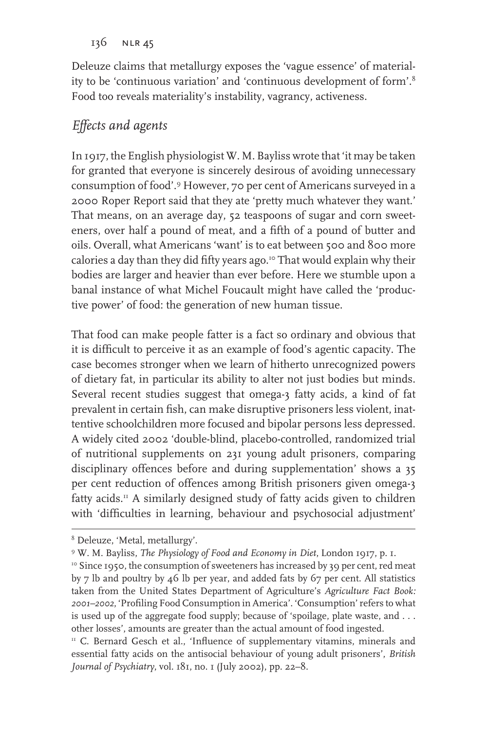136 nlr 45

Deleuze claims that metallurgy exposes the 'vague essence' of materiality to be 'continuous variation' and 'continuous development of form'.8 Food too reveals materiality's instability, vagrancy, activeness.

### *Effects and agents*

In 1917, the English physiologist W. M. Bayliss wrote that 'it may be taken for granted that everyone is sincerely desirous of avoiding unnecessary consumption of food'.9 However, 70 per cent of Americans surveyed in a 2000 Roper Report said that they ate 'pretty much whatever they want.' That means, on an average day, 52 teaspoons of sugar and corn sweeteners, over half a pound of meat, and a fifth of a pound of butter and oils. Overall, what Americans 'want' is to eat between 500 and 800 more calories a day than they did fifty years ago.<sup>10</sup> That would explain why their bodies are larger and heavier than ever before. Here we stumble upon a banal instance of what Michel Foucault might have called the 'productive power' of food: the generation of new human tissue.

That food can make people fatter is a fact so ordinary and obvious that it is difficult to perceive it as an example of food's agentic capacity. The case becomes stronger when we learn of hitherto unrecognized powers of dietary fat, in particular its ability to alter not just bodies but minds. Several recent studies suggest that omega-3 fatty acids, a kind of fat prevalent in certain fish, can make disruptive prisoners less violent, inattentive schoolchildren more focused and bipolar persons less depressed. A widely cited 2002 'double-blind, placebo-controlled, randomized trial of nutritional supplements on 231 young adult prisoners, comparing disciplinary offences before and during supplementation' shows a 35 per cent reduction of offences among British prisoners given omega-3 fatty acids.<sup>11</sup> A similarly designed study of fatty acids given to children with 'difficulties in learning, behaviour and psychosocial adjustment'

<sup>8</sup> Deleuze, 'Metal, metallurgy'.

<sup>&</sup>lt;sup>9</sup> W. M. Bayliss, *The Physiology of Food and Economy in Diet*, London 1917, p. 1.<br><sup>10</sup> Since 1950, the consumption of sweeteners has increased by 39 per cent, red meat

by 7 lb and poultry by 46 lb per year, and added fats by 67 per cent. All statistics taken from the United States Department of Agriculture's *Agriculture Fact Book: 2001–2002*, 'Profiling Food Consumption in America'. 'Consumption' refers to what is used up of the aggregate food supply; because of 'spoilage, plate waste, and . . . other losses', amounts are greater than the actual amount of food ingested.

<sup>&</sup>lt;sup>11</sup> C. Bernard Gesch et al., 'Influence of supplementary vitamins, minerals and essential fatty acids on the antisocial behaviour of young adult prisoners', *British Journal of Psychiatry*, vol. 181, no. 1 (July 2002), pp. 22–8.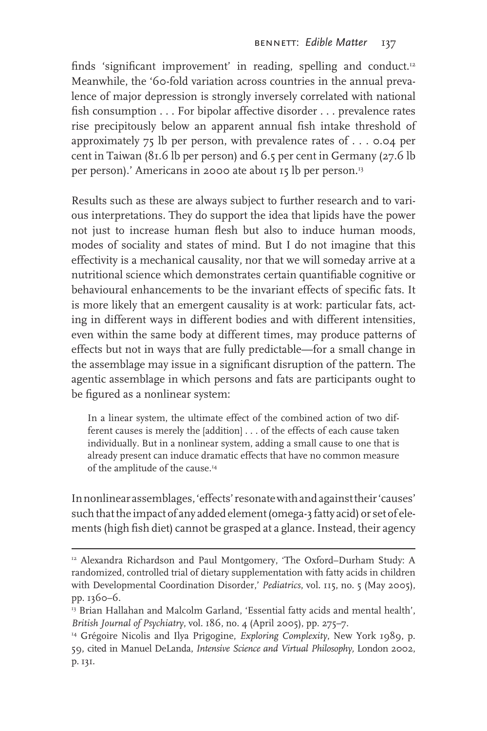finds 'significant improvement' in reading, spelling and conduct.<sup>12</sup> Meanwhile, the '60-fold variation across countries in the annual prevalence of major depression is strongly inversely correlated with national fish consumption . . . For bipolar affective disorder . . . prevalence rates rise precipitously below an apparent annual fish intake threshold of approximately  $75$  lb per person, with prevalence rates of  $\dots$  0.04 per cent in Taiwan (81.6 lb per person) and 6.5 per cent in Germany (27.6 lb per person).' Americans in 2000 ate about 15 lb per person.<sup>13</sup>

Results such as these are always subject to further research and to various interpretations. They do support the idea that lipids have the power not just to increase human flesh but also to induce human moods, modes of sociality and states of mind. But I do not imagine that this effectivity is a mechanical causality, nor that we will someday arrive at a nutritional science which demonstrates certain quantifiable cognitive or behavioural enhancements to be the invariant effects of specific fats. It is more likely that an emergent causality is at work: particular fats, acting in different ways in different bodies and with different intensities, even within the same body at different times, may produce patterns of effects but not in ways that are fully predictable—for a small change in the assemblage may issue in a significant disruption of the pattern. The agentic assemblage in which persons and fats are participants ought to be figured as a nonlinear system:

In a linear system, the ultimate effect of the combined action of two different causes is merely the [addition] . . . of the effects of each cause taken individually. But in a nonlinear system, adding a small cause to one that is already present can induce dramatic effects that have no common measure of the amplitude of the cause.<sup>14</sup>

In nonlinear assemblages, 'effects' resonate with and against their 'causes' such that the impact of any added element (omega-3 fatty acid) or set of elements (high fish diet) cannot be grasped at a glance. Instead, their agency

<sup>&</sup>lt;sup>12</sup> Alexandra Richardson and Paul Montgomery, 'The Oxford-Durham Study: A randomized, controlled trial of dietary supplementation with fatty acids in children with Developmental Coordination Disorder,' *Pediatrics*, vol. 115, no. 5 (May 2005), pp. 1360–6.

<sup>&</sup>lt;sup>13</sup> Brian Hallahan and Malcolm Garland, 'Essential fatty acids and mental health', *British Journal of Psychiatry*, vol. 186, no. 4 (April 2005), pp. 275–7. 14 Grégoire Nicolis and Ilya Prigogine, *Exploring Complexity*, New York 1989, p.

<sup>59,</sup> cited in Manuel DeLanda, *Intensive Science and Virtual Philosophy,* London 2002, p. 131.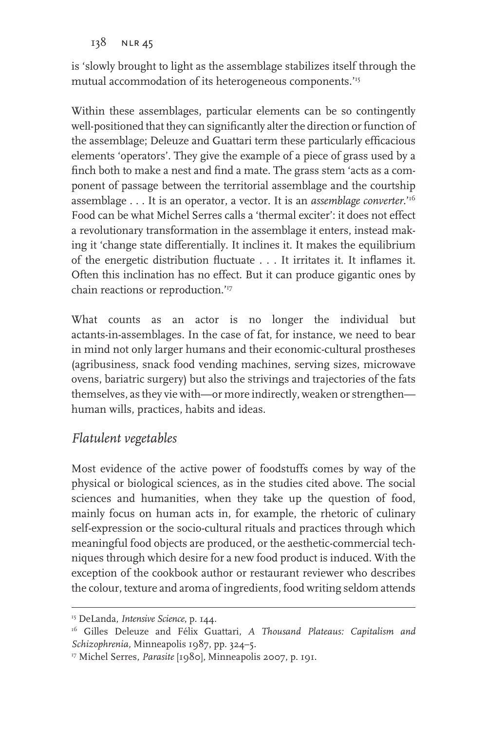138 nlr 45

is 'slowly brought to light as the assemblage stabilizes itself through the mutual accommodation of its heterogeneous components.'15

Within these assemblages, particular elements can be so contingently well-positioned that they can significantly alter the direction or function of the assemblage; Deleuze and Guattari term these particularly efficacious elements 'operators'. They give the example of a piece of grass used by a finch both to make a nest and find a mate. The grass stem 'acts as a component of passage between the territorial assemblage and the courtship assemblage . . . It is an operator, a vector. It is an *assemblage converter*.'16 Food can be what Michel Serres calls a 'thermal exciter': it does not effect a revolutionary transformation in the assemblage it enters, instead making it 'change state differentially. It inclines it. It makes the equilibrium of the energetic distribution fluctuate . . . It irritates it. It inflames it. Often this inclination has no effect. But it can produce gigantic ones by chain reactions or reproduction.'17

What counts as an actor is no longer the individual but actants-in-assemblages. In the case of fat, for instance, we need to bear in mind not only larger humans and their economic-cultural prostheses (agribusiness, snack food vending machines, serving sizes, microwave ovens, bariatric surgery) but also the strivings and trajectories of the fats themselves, as they vie with—or more indirectly, weaken or strengthen human wills, practices, habits and ideas.

#### *Flatulent vegetables*

Most evidence of the active power of foodstuffs comes by way of the physical or biological sciences, as in the studies cited above. The social sciences and humanities, when they take up the question of food, mainly focus on human acts in, for example, the rhetoric of culinary self-expression or the socio-cultural rituals and practices through which meaningful food objects are produced, or the aesthetic-commercial techniques through which desire for a new food product is induced. With the exception of the cookbook author or restaurant reviewer who describes the colour, texture and aroma of ingredients, food writing seldom attends

<sup>15</sup> DeLanda, *Intensive Science*, p. 144.

<sup>16</sup> Gilles Deleuze and Félix Guattari, *A Thousand Plateaus: Capitalism and Schizophrenia,* Minneapolis 1987, pp. 324–5.

<sup>17</sup> Michel Serres, *Parasite* [1980], Minneapolis 2007, p. 191.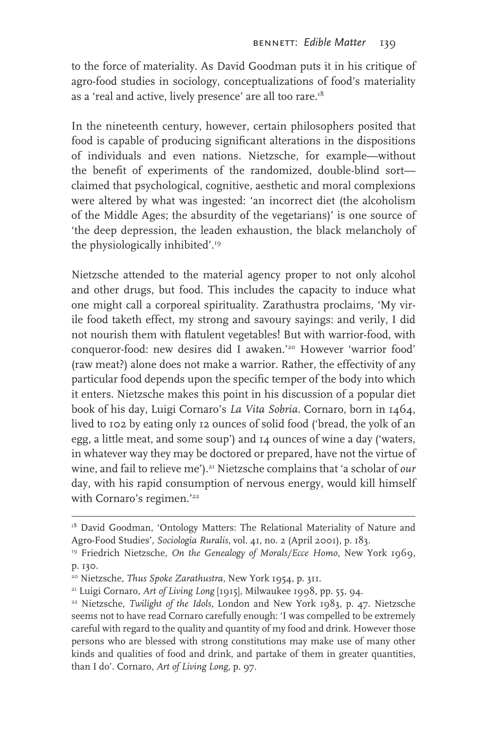to the force of materiality. As David Goodman puts it in his critique of agro-food studies in sociology, conceptualizations of food's materiality as a 'real and active, lively presence' are all too rare.<sup>18</sup>

In the nineteenth century, however, certain philosophers posited that food is capable of producing significant alterations in the dispositions of individuals and even nations. Nietzsche, for example—without the benefit of experiments of the randomized, double-blind sort claimed that psychological, cognitive, aesthetic and moral complexions were altered by what was ingested: 'an incorrect diet (the alcoholism of the Middle Ages; the absurdity of the vegetarians)' is one source of 'the deep depression, the leaden exhaustion, the black melancholy of the physiologically inhibited'.19

Nietzsche attended to the material agency proper to not only alcohol and other drugs, but food. This includes the capacity to induce what one might call a corporeal spirituality. Zarathustra proclaims, 'My virile food taketh effect, my strong and savoury sayings: and verily, I did not nourish them with flatulent vegetables! But with warrior-food, with conqueror-food: new desires did I awaken.'20 However 'warrior food' (raw meat?) alone does not make a warrior. Rather, the effectivity of any particular food depends upon the specific temper of the body into which it enters. Nietzsche makes this point in his discussion of a popular diet book of his day, Luigi Cornaro's *La Vita Sobria.* Cornaro, born in 1464, lived to 102 by eating only 12 ounces of solid food ('bread, the yolk of an egg, a little meat, and some soup') and 14 ounces of wine a day ('waters, in whatever way they may be doctored or prepared, have not the virtue of wine, and fail to relieve me').<sup>21</sup> Nietzsche complains that 'a scholar of *our* day, with his rapid consumption of nervous energy, would kill himself with Cornaro's regimen.'<sup>22</sup>

<sup>&</sup>lt;sup>18</sup> David Goodman, 'Ontology Matters: The Relational Materiality of Nature and Agro-Food Studies', *Sociologia Ruralis*, vol. 41, no. 2 (April 2001), p. 183. 19 Friedrich Nietzsche, *On the Genealogy of Morals/Ecce Homo*, New York 1969,

p. 130.

<sup>20</sup> Nietzsche, *Thus Spoke Zarathustra*, New York 1954, p. 311.

<sup>21</sup> Luigi Cornaro, *Art of Living Long* [1915], Milwaukee 1998, pp. 55, 94.

<sup>22</sup> Nietzsche, *Twilight of the Idols*, London and New York 1983, p. 47. Nietzsche seems not to have read Cornaro carefully enough: 'I was compelled to be extremely careful with regard to the quality and quantity of my food and drink. However those persons who are blessed with strong constitutions may make use of many other kinds and qualities of food and drink, and partake of them in greater quantities, than I do'. Cornaro, *Art of Living Long*, p. 97.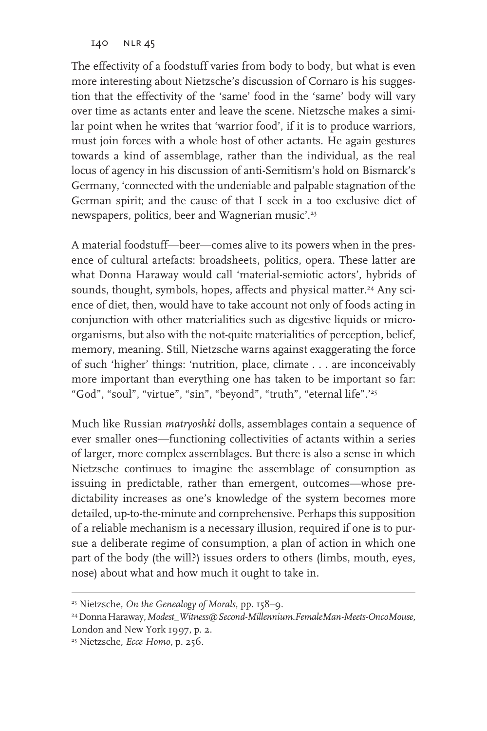140 nlr 45

The effectivity of a foodstuff varies from body to body, but what is even more interesting about Nietzsche's discussion of Cornaro is his suggestion that the effectivity of the 'same' food in the 'same' body will vary over time as actants enter and leave the scene. Nietzsche makes a similar point when he writes that 'warrior food', if it is to produce warriors, must join forces with a whole host of other actants. He again gestures towards a kind of assemblage, rather than the individual, as the real locus of agency in his discussion of anti-Semitism's hold on Bismarck's Germany, 'connected with the undeniable and palpable stagnation of the German spirit; and the cause of that I seek in a too exclusive diet of newspapers, politics, beer and Wagnerian music'.23

A material foodstuff—beer—comes alive to its powers when in the presence of cultural artefacts: broadsheets, politics, opera. These latter are what Donna Haraway would call 'material-semiotic actors', hybrids of sounds, thought, symbols, hopes, affects and physical matter.<sup>24</sup> Any science of diet, then, would have to take account not only of foods acting in conjunction with other materialities such as digestive liquids or microorganisms, but also with the not-quite materialities of perception, belief, memory, meaning. Still, Nietzsche warns against exaggerating the force of such 'higher' things: 'nutrition, place, climate . . . are inconceivably more important than everything one has taken to be important so far: "God", "soul", "virtue", "sin", "beyond", "truth", "eternal life".'25

Much like Russian *matryoshki* dolls, assemblages contain a sequence of ever smaller ones—functioning collectivities of actants within a series of larger, more complex assemblages. But there is also a sense in which Nietzsche continues to imagine the assemblage of consumption as issuing in predictable, rather than emergent, outcomes—whose predictability increases as one's knowledge of the system becomes more detailed, up-to-the-minute and comprehensive. Perhaps this supposition of a reliable mechanism is a necessary illusion, required if one is to pursue a deliberate regime of consumption, a plan of action in which one part of the body (the will?) issues orders to others (limbs, mouth, eyes, nose) about what and how much it ought to take in.

<sup>23</sup> Nietzsche, *On the Genealogy of Morals*, pp. 158–9.

<sup>24</sup> Donna Haraway, *Modest\_Witness@Second-Millennium.FemaleMan-Meets-OncoMouse,*  London and New York 1997, p. 2.

<sup>25</sup> Nietzsche, *Ecce Homo*, p. 256.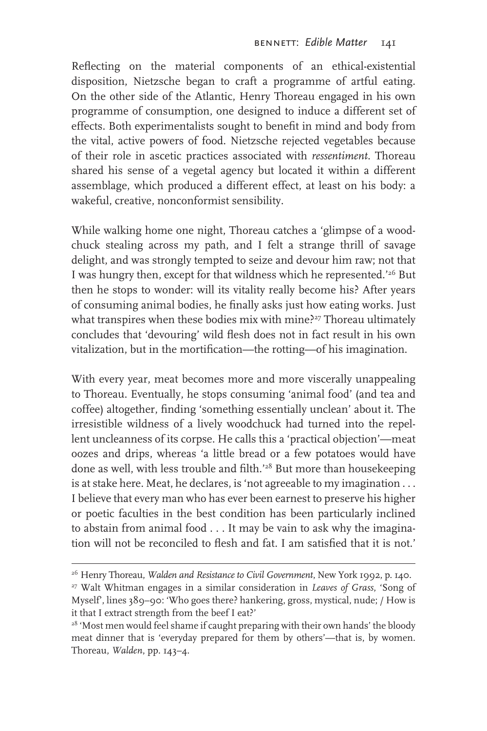Reflecting on the material components of an ethical-existential disposition, Nietzsche began to craft a programme of artful eating. On the other side of the Atlantic, Henry Thoreau engaged in his own programme of consumption, one designed to induce a different set of effects. Both experimentalists sought to benefit in mind and body from the vital, active powers of food. Nietzsche rejected vegetables because of their role in ascetic practices associated with *ressentiment*. Thoreau shared his sense of a vegetal agency but located it within a different assemblage, which produced a different effect, at least on his body: a wakeful, creative, nonconformist sensibility.

While walking home one night, Thoreau catches a 'glimpse of a woodchuck stealing across my path, and I felt a strange thrill of savage delight, and was strongly tempted to seize and devour him raw; not that I was hungry then, except for that wildness which he represented.'26 But then he stops to wonder: will its vitality really become his? After years of consuming animal bodies, he finally asks just how eating works. Just what transpires when these bodies mix with mine?<sup>27</sup> Thoreau ultimately concludes that 'devouring' wild flesh does not in fact result in his own vitalization, but in the mortification—the rotting—of his imagination.

With every year, meat becomes more and more viscerally unappealing to Thoreau. Eventually, he stops consuming 'animal food' (and tea and coffee) altogether, finding 'something essentially unclean' about it. The irresistible wildness of a lively woodchuck had turned into the repellent uncleanness of its corpse. He calls this a 'practical objection'—meat oozes and drips, whereas 'a little bread or a few potatoes would have done as well, with less trouble and filth.<sup>'28</sup> But more than housekeeping is at stake here. Meat, he declares, is 'not agreeable to my imagination . . . I believe that every man who has ever been earnest to preserve his higher or poetic faculties in the best condition has been particularly inclined to abstain from animal food . . . It may be vain to ask why the imagination will not be reconciled to flesh and fat. I am satisfied that it is not.'

<sup>&</sup>lt;sup>26</sup> Henry Thoreau, *Walden and Resistance to Civil Government*, New York 1992, p. 140.<br><sup>27</sup> Walt Whitman engages in a similar consideration in *Leaves of Grass*, 'Song of Myself', lines 389–90: 'Who goes there? hankering, gross, mystical, nude; / How is it that I extract strength from the beef I eat?'

<sup>&</sup>lt;sup>28</sup> 'Most men would feel shame if caught preparing with their own hands' the bloody meat dinner that is 'everyday prepared for them by others'—that is, by women. Thoreau, *Walden*, pp. 143–4.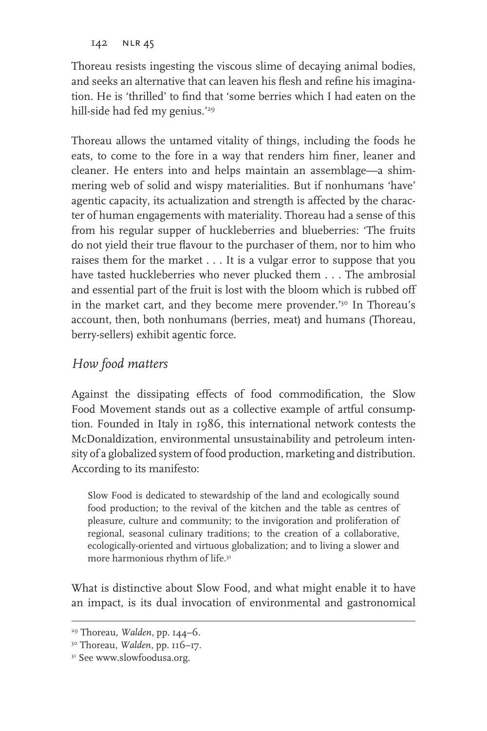142 NLR 45

Thoreau resists ingesting the viscous slime of decaying animal bodies, and seeks an alternative that can leaven his flesh and refine his imagination. He is 'thrilled' to find that 'some berries which I had eaten on the hill-side had fed my genius.'29

Thoreau allows the untamed vitality of things, including the foods he eats, to come to the fore in a way that renders him finer, leaner and cleaner. He enters into and helps maintain an assemblage—a shimmering web of solid and wispy materialities. But if nonhumans 'have' agentic capacity, its actualization and strength is affected by the character of human engagements with materiality. Thoreau had a sense of this from his regular supper of huckleberries and blueberries: 'The fruits do not yield their true flavour to the purchaser of them, nor to him who raises them for the market . . . It is a vulgar error to suppose that you have tasted huckleberries who never plucked them . . . The ambrosial and essential part of the fruit is lost with the bloom which is rubbed off in the market cart, and they become mere provender.<sup>'30</sup> In Thoreau's account, then, both nonhumans (berries, meat) and humans (Thoreau, berry-sellers) exhibit agentic force.

### *How food matters*

Against the dissipating effects of food commodification, the Slow Food Movement stands out as a collective example of artful consumption. Founded in Italy in 1986, this international network contests the McDonaldization, environmental unsustainability and petroleum intensity of a globalized system of food production, marketing and distribution. According to its manifesto:

Slow Food is dedicated to stewardship of the land and ecologically sound food production; to the revival of the kitchen and the table as centres of pleasure, culture and community; to the invigoration and proliferation of regional, seasonal culinary traditions; to the creation of a collaborative, ecologically-oriented and virtuous globalization; and to living a slower and more harmonious rhythm of life.<sup>31</sup>

What is distinctive about Slow Food, and what might enable it to have an impact, is its dual invocation of environmental and gastronomical

<sup>29</sup> Thoreau, *Walden*, pp. 144–6. 30 Thoreau, *Walden*, pp. 116–17.

<sup>&</sup>lt;sup>31</sup> See www.slowfoodusa.org.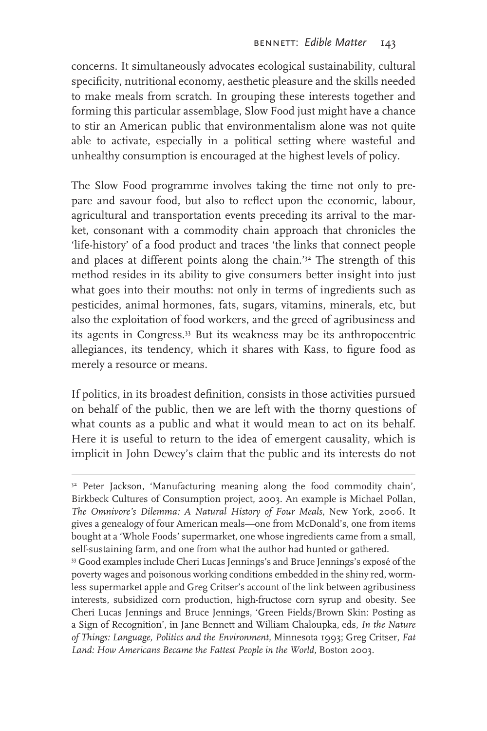concerns. It simultaneously advocates ecological sustainability, cultural specificity, nutritional economy, aesthetic pleasure and the skills needed to make meals from scratch. In grouping these interests together and forming this particular assemblage, Slow Food just might have a chance to stir an American public that environmentalism alone was not quite able to activate, especially in a political setting where wasteful and unhealthy consumption is encouraged at the highest levels of policy.

The Slow Food programme involves taking the time not only to prepare and savour food, but also to reflect upon the economic, labour, agricultural and transportation events preceding its arrival to the market, consonant with a commodity chain approach that chronicles the 'life-history' of a food product and traces 'the links that connect people and places at different points along the chain.'32 The strength of this method resides in its ability to give consumers better insight into just what goes into their mouths: not only in terms of ingredients such as pesticides, animal hormones, fats, sugars, vitamins, minerals, etc, but also the exploitation of food workers, and the greed of agribusiness and its agents in Congress.33 But its weakness may be its anthropocentric allegiances, its tendency, which it shares with Kass, to figure food as merely a resource or means.

If politics, in its broadest definition, consists in those activities pursued on behalf of the public, then we are left with the thorny questions of what counts as a public and what it would mean to act on its behalf. Here it is useful to return to the idea of emergent causality, which is implicit in John Dewey's claim that the public and its interests do not

<sup>&</sup>lt;sup>32</sup> Peter Jackson, 'Manufacturing meaning along the food commodity chain', Birkbeck Cultures of Consumption project, 2003. An example is Michael Pollan, *The Omnivore's Dilemma: A Natural History of Four Meals*, New York, 2006. It gives a genealogy of four American meals—one from McDonald's, one from items bought at a 'Whole Foods' supermarket, one whose ingredients came from a small, self-sustaining farm, and one from what the author had hunted or gathered.

<sup>33</sup> Good examples include Cheri Lucas Jennings's and Bruce Jennings's exposé of the poverty wages and poisonous working conditions embedded in the shiny red, wormless supermarket apple and Greg Critser's account of the link between agribusiness interests, subsidized corn production, high-fructose corn syrup and obesity. See Cheri Lucas Jennings and Bruce Jennings, 'Green Fields/Brown Skin: Posting as a Sign of Recognition', in Jane Bennett and William Chaloupka, eds, *In the Nature of Things: Language, Politics and the Environment,* Minnesota 1993; Greg Critser, *Fat*  Land: How Americans Became the Fattest People in the World, Boston 2003.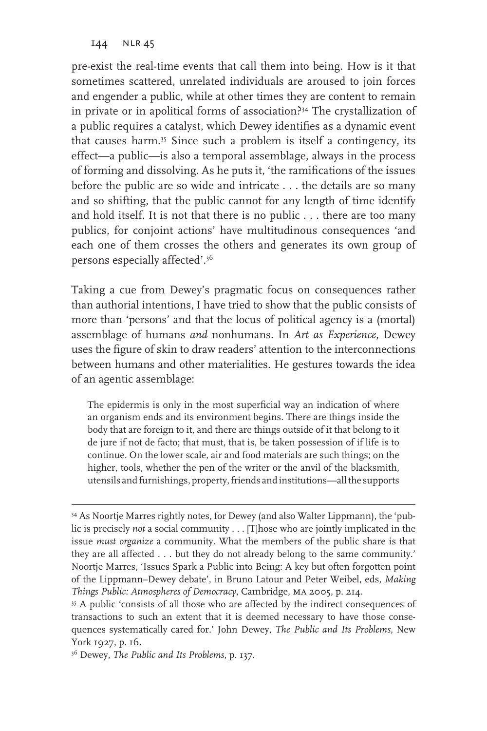144 NLR 45

pre-exist the real-time events that call them into being. How is it that sometimes scattered, unrelated individuals are aroused to join forces and engender a public, while at other times they are content to remain in private or in apolitical forms of association?34 The crystallization of a public requires a catalyst, which Dewey identifies as a dynamic event that causes harm.35 Since such a problem is itself a contingency, its effect—a public—is also a temporal assemblage, always in the process of forming and dissolving. As he puts it, 'the ramifications of the issues before the public are so wide and intricate . . . the details are so many and so shifting, that the public cannot for any length of time identify and hold itself. It is not that there is no public . . . there are too many publics, for conjoint actions' have multitudinous consequences 'and each one of them crosses the others and generates its own group of persons especially affected'.36

Taking a cue from Dewey's pragmatic focus on consequences rather than authorial intentions, I have tried to show that the public consists of more than 'persons' and that the locus of political agency is a (mortal) assemblage of humans *and* nonhumans. In *Art as Experience*, Dewey uses the figure of skin to draw readers' attention to the interconnections between humans and other materialities. He gestures towards the idea of an agentic assemblage:

The epidermis is only in the most superficial way an indication of where an organism ends and its environment begins. There are things inside the body that are foreign to it, and there are things outside of it that belong to it de jure if not de facto; that must, that is, be taken possession of if life is to continue. On the lower scale, air and food materials are such things; on the higher, tools, whether the pen of the writer or the anvil of the blacksmith, utensils and furnishings, property, friends and institutions—all the supports

<sup>34</sup> As Noortje Marres rightly notes, for Dewey (and also Walter Lippmann), the 'public is precisely *not* a social community . . . [T]hose who are jointly implicated in the issue *must organize* a community. What the members of the public share is that they are all affected . . . but they do not already belong to the same community.' Noortje Marres, 'Issues Spark a Public into Being: A key but often forgotten point of the Lippmann–Dewey debate', in Bruno Latour and Peter Weibel, eds, *Making* 

*Things Public: Atmospheres of Democracy*, Cambridge, MA 2005, p. 214.<br><sup>35</sup> A public 'consists of all those who are affected by the indirect consequences of transactions to such an extent that it is deemed necessary to have those consequences systematically cared for.' John Dewey, *The Public and Its Problems,* New York 1927, p. 16.

<sup>36</sup> Dewey, *The Public and Its Problems*, p. 137.